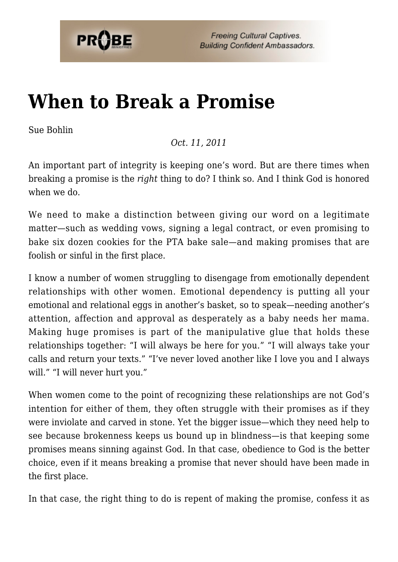

**Freeing Cultural Captives. Building Confident Ambassadors.** 

## **[When to Break a Promise](https://probe.org/when-to-break-a-promise/)**

Sue Bohlin

## *Oct. 11, 2011*

An important part of integrity is keeping one's word. But are there times when breaking a promise is the *right* thing to do? I think so. And I think God is honored when we do.

We need to make a distinction between giving our word on a legitimate matter—such as wedding vows, signing a legal contract, or even promising to bake six dozen cookies for the PTA bake sale—and making promises that are foolish or sinful in the first place.

I know a number of women struggling to disengage from emotionally dependent relationships with other women. Emotional dependency is putting all your emotional and relational eggs in another's basket, so to speak—needing another's attention, affection and approval as desperately as a baby needs her mama. Making huge promises is part of the manipulative glue that holds these relationships together: "I will always be here for you." "I will always take your calls and return your texts." "I've never loved another like I love you and I always will." "I will never hurt you."

When women come to the point of recognizing these relationships are not God's intention for either of them, they often struggle with their promises as if they were inviolate and carved in stone. Yet the bigger issue—which they need help to see because brokenness keeps us bound up in blindness—is that keeping some promises means sinning against God. In that case, obedience to God is the better choice, even if it means breaking a promise that never should have been made in the first place.

In that case, the right thing to do is repent of making the promise, confess it as